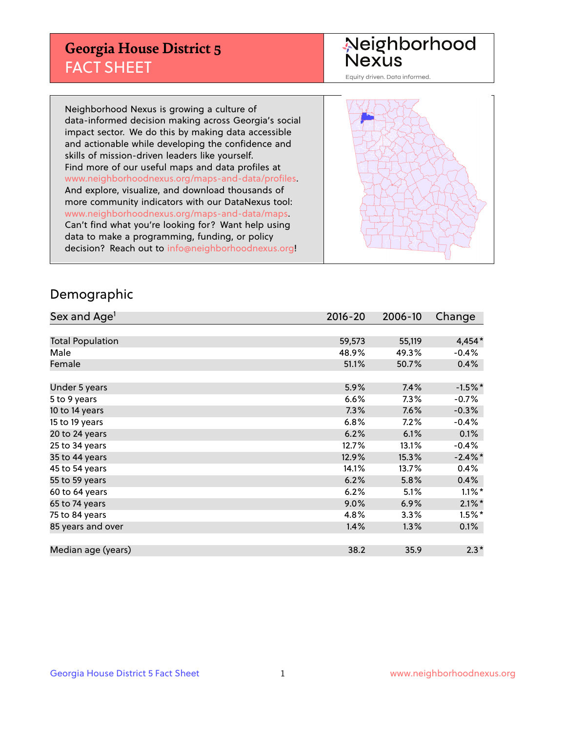## **Georgia House District 5** FACT SHEET

# Neighborhood<br>Nexus

Equity driven. Data informed.

Neighborhood Nexus is growing a culture of data-informed decision making across Georgia's social impact sector. We do this by making data accessible and actionable while developing the confidence and skills of mission-driven leaders like yourself. Find more of our useful maps and data profiles at www.neighborhoodnexus.org/maps-and-data/profiles. And explore, visualize, and download thousands of more community indicators with our DataNexus tool: www.neighborhoodnexus.org/maps-and-data/maps. Can't find what you're looking for? Want help using data to make a programming, funding, or policy decision? Reach out to [info@neighborhoodnexus.org!](mailto:info@neighborhoodnexus.org)



### Demographic

| Sex and Age <sup>1</sup> | $2016 - 20$ | 2006-10 | Change     |
|--------------------------|-------------|---------|------------|
|                          |             |         |            |
| <b>Total Population</b>  | 59,573      | 55,119  | 4,454*     |
| Male                     | 48.9%       | 49.3%   | $-0.4%$    |
| Female                   | 51.1%       | 50.7%   | 0.4%       |
|                          |             |         |            |
| Under 5 years            | 5.9%        | 7.4%    | $-1.5%$ *  |
| 5 to 9 years             | 6.6%        | $7.3\%$ | $-0.7\%$   |
| 10 to 14 years           | 7.3%        | 7.6%    | $-0.3%$    |
| 15 to 19 years           | 6.8%        | 7.2%    | $-0.4%$    |
| 20 to 24 years           | 6.2%        | 6.1%    | 0.1%       |
| 25 to 34 years           | 12.7%       | 13.1%   | $-0.4%$    |
| 35 to 44 years           | 12.9%       | 15.3%   | $-2.4\%$ * |
| 45 to 54 years           | 14.1%       | 13.7%   | 0.4%       |
| 55 to 59 years           | 6.2%        | 5.8%    | 0.4%       |
| 60 to 64 years           | 6.2%        | 5.1%    | $1.1\%$ *  |
| 65 to 74 years           | 9.0%        | 6.9%    | $2.1\%$ *  |
| 75 to 84 years           | 4.8%        | 3.3%    | $1.5%$ *   |
| 85 years and over        | 1.4%        | 1.3%    | 0.1%       |
|                          |             |         |            |
| Median age (years)       | 38.2        | 35.9    | $2.3*$     |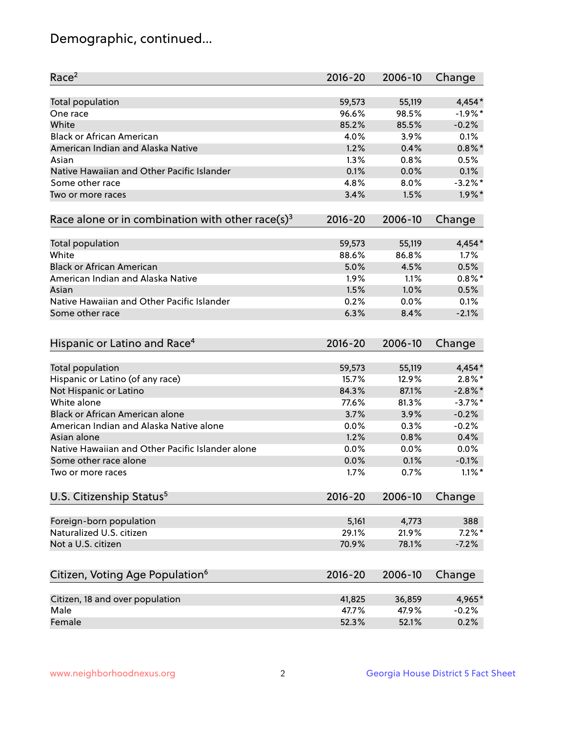## Demographic, continued...

| Race <sup>2</sup>                                            | $2016 - 20$    | 2006-10        | Change           |
|--------------------------------------------------------------|----------------|----------------|------------------|
| <b>Total population</b>                                      | 59,573         | 55,119         | $4,454*$         |
| One race                                                     | 96.6%          | 98.5%          | $-1.9%$ *        |
| White                                                        | 85.2%          | 85.5%          | $-0.2%$          |
| <b>Black or African American</b>                             | 4.0%           | 3.9%           | 0.1%             |
| American Indian and Alaska Native                            | 1.2%           | 0.4%           | $0.8\%$ *        |
| Asian                                                        | 1.3%           | 0.8%           | 0.5%             |
| Native Hawaiian and Other Pacific Islander                   | 0.1%           | 0.0%           | 0.1%             |
| Some other race                                              | 4.8%           | 8.0%           | $-3.2\%$ *       |
| Two or more races                                            | 3.4%           | 1.5%           | $1.9\%$ *        |
| Race alone or in combination with other race(s) <sup>3</sup> | $2016 - 20$    | 2006-10        | Change           |
| Total population                                             | 59,573         | 55,119         | $4,454*$         |
| White                                                        | 88.6%          | 86.8%          | 1.7%             |
| <b>Black or African American</b>                             | 5.0%           | 4.5%           | 0.5%             |
| American Indian and Alaska Native                            | 1.9%           | 1.1%           | $0.8\%$ *        |
| Asian                                                        | 1.5%           | 1.0%           | 0.5%             |
| Native Hawaiian and Other Pacific Islander                   | 0.2%           | 0.0%           | 0.1%             |
| Some other race                                              | 6.3%           | 8.4%           | $-2.1%$          |
| Hispanic or Latino and Race <sup>4</sup>                     | $2016 - 20$    | 2006-10        | Change           |
| Total population                                             | 59,573         | 55,119         | 4,454*           |
| Hispanic or Latino (of any race)                             | 15.7%          | 12.9%          | $2.8\%$ *        |
| Not Hispanic or Latino                                       | 84.3%          | 87.1%          | $-2.8\%$ *       |
| White alone                                                  | 77.6%          | 81.3%          | $-3.7\%$ *       |
| Black or African American alone                              | 3.7%           | 3.9%           | $-0.2%$          |
| American Indian and Alaska Native alone                      | 0.0%           | 0.3%           | $-0.2%$          |
| Asian alone                                                  | 1.2%           | 0.8%           | 0.4%             |
| Native Hawaiian and Other Pacific Islander alone             | 0.0%           | 0.0%           | 0.0%             |
| Some other race alone                                        | 0.0%           | 0.1%           | $-0.1%$          |
| Two or more races                                            | 1.7%           | 0.7%           | $1.1\%$ *        |
| U.S. Citizenship Status <sup>5</sup>                         | $2016 - 20$    | 2006-10        | Change           |
|                                                              |                |                |                  |
| Foreign-born population<br>Naturalized U.S. citizen          | 5,161<br>29.1% | 4,773<br>21.9% | 388<br>$7.2\%$ * |
| Not a U.S. citizen                                           | 70.9%          | 78.1%          | $-7.2%$          |
|                                                              |                |                |                  |
| Citizen, Voting Age Population <sup>6</sup>                  | $2016 - 20$    | 2006-10        | Change           |
| Citizen, 18 and over population                              | 41,825         | 36,859         | 4,965*           |
| Male                                                         | 47.7%          | 47.9%          | $-0.2%$          |
| Female                                                       | 52.3%          | 52.1%          | 0.2%             |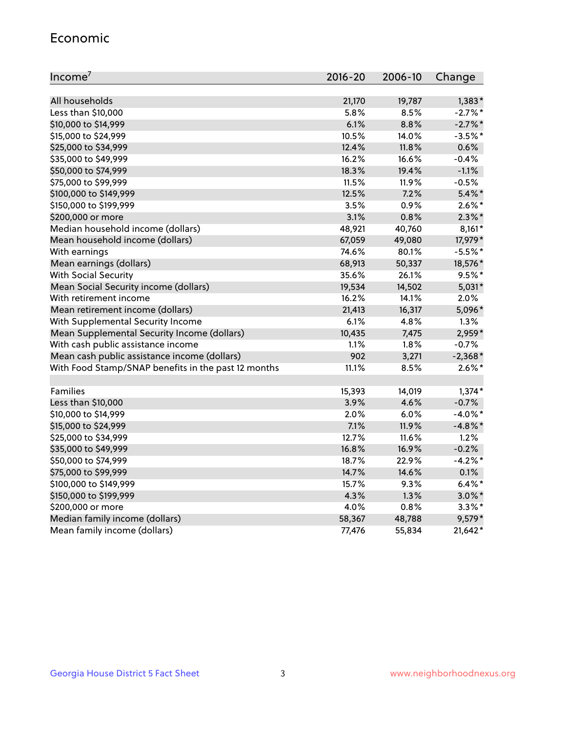#### Economic

| Income <sup>7</sup>                                 | $2016 - 20$ | 2006-10 | Change     |
|-----------------------------------------------------|-------------|---------|------------|
|                                                     |             |         |            |
| All households                                      | 21,170      | 19,787  | $1,383*$   |
| Less than \$10,000                                  | 5.8%        | 8.5%    | $-2.7\%$ * |
| \$10,000 to \$14,999                                | 6.1%        | 8.8%    | $-2.7\%$ * |
| \$15,000 to \$24,999                                | 10.5%       | 14.0%   | $-3.5%$ *  |
| \$25,000 to \$34,999                                | 12.4%       | 11.8%   | 0.6%       |
| \$35,000 to \$49,999                                | 16.2%       | 16.6%   | $-0.4%$    |
| \$50,000 to \$74,999                                | 18.3%       | 19.4%   | $-1.1%$    |
| \$75,000 to \$99,999                                | 11.5%       | 11.9%   | $-0.5%$    |
| \$100,000 to \$149,999                              | 12.5%       | 7.2%    | $5.4\%$ *  |
| \$150,000 to \$199,999                              | 3.5%        | 0.9%    | $2.6\%$ *  |
| \$200,000 or more                                   | 3.1%        | 0.8%    | $2.3\%$ *  |
| Median household income (dollars)                   | 48,921      | 40,760  | $8,161*$   |
| Mean household income (dollars)                     | 67,059      | 49,080  | 17,979*    |
| With earnings                                       | 74.6%       | 80.1%   | $-5.5%$ *  |
| Mean earnings (dollars)                             | 68,913      | 50,337  | 18,576*    |
| <b>With Social Security</b>                         | 35.6%       | 26.1%   | $9.5%$ *   |
| Mean Social Security income (dollars)               | 19,534      | 14,502  | $5,031*$   |
| With retirement income                              | 16.2%       | 14.1%   | 2.0%       |
| Mean retirement income (dollars)                    | 21,413      | 16,317  | 5,096*     |
| With Supplemental Security Income                   | 6.1%        | 4.8%    | 1.3%       |
| Mean Supplemental Security Income (dollars)         | 10,435      | 7,475   | 2,959*     |
| With cash public assistance income                  | 1.1%        | 1.8%    | $-0.7%$    |
| Mean cash public assistance income (dollars)        | 902         | 3,271   | $-2,368*$  |
| With Food Stamp/SNAP benefits in the past 12 months | 11.1%       | 8.5%    | $2.6\%$ *  |
|                                                     |             |         |            |
| Families                                            | 15,393      | 14,019  | $1,374*$   |
| Less than \$10,000                                  | 3.9%        | 4.6%    | $-0.7%$    |
| \$10,000 to \$14,999                                | 2.0%        | 6.0%    | $-4.0\%$ * |
| \$15,000 to \$24,999                                | 7.1%        | 11.9%   | $-4.8\%$ * |
| \$25,000 to \$34,999                                | 12.7%       | 11.6%   | 1.2%       |
| \$35,000 to \$49,999                                | 16.8%       | 16.9%   | $-0.2%$    |
| \$50,000 to \$74,999                                | 18.7%       | 22.9%   | $-4.2%$ *  |
| \$75,000 to \$99,999                                | 14.7%       | 14.6%   | 0.1%       |
| \$100,000 to \$149,999                              | 15.7%       | 9.3%    | $6.4\%$ *  |
| \$150,000 to \$199,999                              | 4.3%        | 1.3%    | $3.0\%$ *  |
| \$200,000 or more                                   | 4.0%        | 0.8%    | $3.3\%$ *  |
| Median family income (dollars)                      | 58,367      | 48,788  | 9,579*     |
| Mean family income (dollars)                        | 77,476      | 55,834  | $21,642*$  |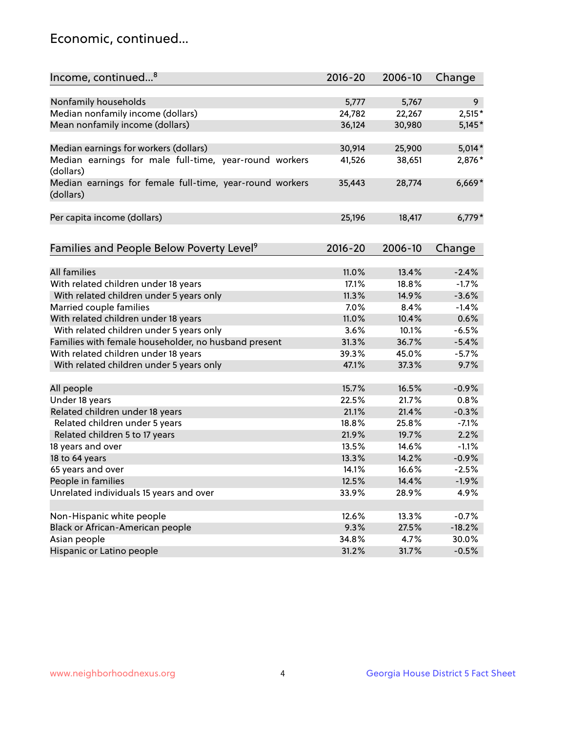## Economic, continued...

| $2016 - 20$<br>2006-10                                                                   |          |
|------------------------------------------------------------------------------------------|----------|
| Income, continued <sup>8</sup><br>Change                                                 |          |
| Nonfamily households<br>5,777<br>5,767                                                   | 9        |
| Median nonfamily income (dollars)<br>24,782<br>22,267                                    | $2,515*$ |
| Mean nonfamily income (dollars)<br>36,124<br>30,980                                      | $5,145*$ |
|                                                                                          |          |
| 25,900<br>Median earnings for workers (dollars)<br>30,914                                | $5,014*$ |
| Median earnings for male full-time, year-round workers<br>38,651<br>41,526               | 2,876*   |
| (dollars)                                                                                |          |
| Median earnings for female full-time, year-round workers<br>28,774<br>35,443             | $6,669*$ |
| (dollars)                                                                                |          |
|                                                                                          |          |
| Per capita income (dollars)<br>25,196<br>18,417                                          | $6,779*$ |
|                                                                                          |          |
| Families and People Below Poverty Level <sup>9</sup><br>$2016 - 20$<br>2006-10<br>Change |          |
|                                                                                          |          |
| <b>All families</b><br>11.0%<br>13.4%                                                    | $-2.4%$  |
| With related children under 18 years<br>17.1%<br>18.8%                                   | $-1.7%$  |
| With related children under 5 years only<br>11.3%<br>14.9%                               | $-3.6%$  |
| Married couple families<br>7.0%<br>8.4%                                                  | $-1.4%$  |
| With related children under 18 years<br>11.0%<br>10.4%                                   | 0.6%     |
| With related children under 5 years only<br>3.6%<br>10.1%                                | $-6.5%$  |
| Families with female householder, no husband present<br>31.3%<br>36.7%                   | $-5.4%$  |
| With related children under 18 years<br>39.3%<br>45.0%                                   | $-5.7%$  |
| With related children under 5 years only<br>47.1%<br>37.3%                               | 9.7%     |
|                                                                                          |          |
| All people<br>15.7%<br>16.5%                                                             | $-0.9%$  |
| Under 18 years<br>22.5%<br>21.7%                                                         | 0.8%     |
| Related children under 18 years<br>21.1%<br>21.4%                                        | $-0.3%$  |
| Related children under 5 years<br>18.8%<br>25.8%                                         | $-7.1%$  |
| Related children 5 to 17 years<br>21.9%<br>19.7%                                         | 2.2%     |
| 18 years and over<br>13.5%<br>14.6%                                                      | $-1.1%$  |
| 18 to 64 years<br>13.3%<br>14.2%                                                         | $-0.9%$  |
| 65 years and over<br>14.1%<br>16.6%                                                      | $-2.5%$  |
| People in families<br>12.5%<br>14.4%                                                     | $-1.9%$  |
| Unrelated individuals 15 years and over<br>33.9%<br>28.9%                                | 4.9%     |
|                                                                                          |          |
| Non-Hispanic white people<br>12.6%<br>13.3%                                              | $-0.7%$  |
| Black or African-American people<br>9.3%<br>27.5%                                        | $-18.2%$ |
| Asian people<br>34.8%<br>4.7%                                                            | 30.0%    |
| Hispanic or Latino people<br>31.2%<br>31.7%                                              | $-0.5%$  |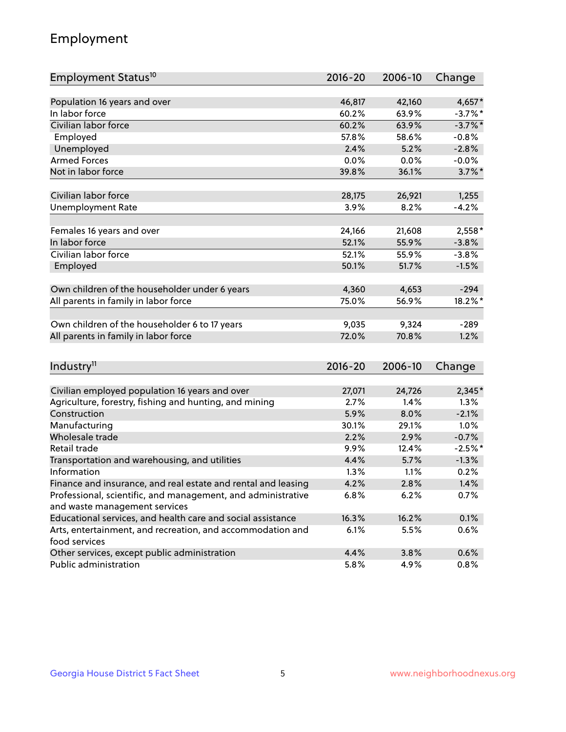## Employment

| Employment Status <sup>10</sup>                                             | $2016 - 20$ | 2006-10 | Change     |
|-----------------------------------------------------------------------------|-------------|---------|------------|
|                                                                             |             |         |            |
| Population 16 years and over                                                | 46,817      | 42,160  | 4,657*     |
| In labor force                                                              | 60.2%       | 63.9%   | $-3.7\%$ * |
| Civilian labor force                                                        | 60.2%       | 63.9%   | $-3.7\%$ * |
| Employed                                                                    | 57.8%       | 58.6%   | $-0.8%$    |
| Unemployed                                                                  | 2.4%        | 5.2%    | $-2.8%$    |
| <b>Armed Forces</b>                                                         | 0.0%        | 0.0%    | $-0.0%$    |
| Not in labor force                                                          | 39.8%       | 36.1%   | $3.7\%$ *  |
| Civilian labor force                                                        | 28,175      | 26,921  |            |
|                                                                             | 3.9%        |         | 1,255      |
| <b>Unemployment Rate</b>                                                    |             | 8.2%    | $-4.2%$    |
| Females 16 years and over                                                   | 24,166      | 21,608  | $2,558*$   |
| In labor force                                                              | 52.1%       | 55.9%   | $-3.8%$    |
| Civilian labor force                                                        | 52.1%       | 55.9%   | $-3.8%$    |
| Employed                                                                    | 50.1%       | 51.7%   | $-1.5%$    |
|                                                                             |             |         |            |
| Own children of the householder under 6 years                               | 4,360       | 4,653   | $-294$     |
| All parents in family in labor force                                        | 75.0%       | 56.9%   | 18.2%*     |
| Own children of the householder 6 to 17 years                               | 9,035       | 9,324   | $-289$     |
| All parents in family in labor force                                        | 72.0%       | 70.8%   | 1.2%       |
|                                                                             |             |         |            |
| Industry <sup>11</sup>                                                      | $2016 - 20$ | 2006-10 | Change     |
|                                                                             |             |         |            |
| Civilian employed population 16 years and over                              | 27,071      | 24,726  | 2,345*     |
| Agriculture, forestry, fishing and hunting, and mining                      | 2.7%        | 1.4%    | 1.3%       |
| Construction                                                                | 5.9%        | 8.0%    | $-2.1%$    |
| Manufacturing                                                               | 30.1%       | 29.1%   | 1.0%       |
| Wholesale trade                                                             | 2.2%        | 2.9%    | $-0.7%$    |
| Retail trade                                                                | 9.9%        | 12.4%   | $-2.5%$ *  |
| Transportation and warehousing, and utilities                               | 4.4%        | 5.7%    | $-1.3%$    |
| Information                                                                 | 1.3%        | 1.1%    | 0.2%       |
| Finance and insurance, and real estate and rental and leasing               | 4.2%        | 2.8%    | 1.4%       |
| Professional, scientific, and management, and administrative                | 6.8%        | 6.2%    | 0.7%       |
| and waste management services                                               |             |         |            |
| Educational services, and health care and social assistance                 | 16.3%       | 16.2%   | 0.1%       |
| Arts, entertainment, and recreation, and accommodation and<br>food services | 6.1%        | 5.5%    | 0.6%       |
| Other services, except public administration                                | 4.4%        | 3.8%    | 0.6%       |
| Public administration                                                       | 5.8%        | 4.9%    | 0.8%       |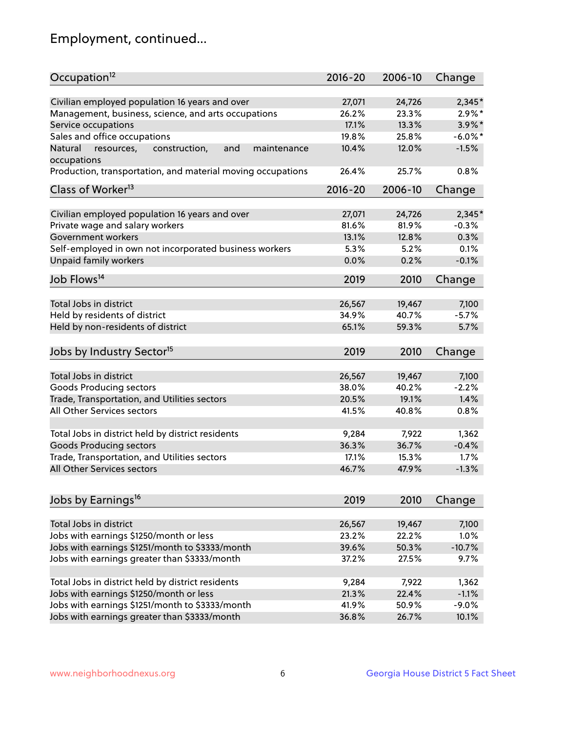## Employment, continued...

| Occupation <sup>12</sup>                                                    | $2016 - 20$ | 2006-10 | Change     |
|-----------------------------------------------------------------------------|-------------|---------|------------|
|                                                                             |             |         |            |
| Civilian employed population 16 years and over                              | 27,071      | 24,726  | 2,345*     |
| Management, business, science, and arts occupations                         | 26.2%       | 23.3%   | $2.9\%*$   |
| Service occupations                                                         | 17.1%       | 13.3%   | 3.9%*      |
| Sales and office occupations                                                | 19.8%       | 25.8%   | $-6.0\%$ * |
| and<br>Natural<br>resources,<br>construction,<br>maintenance<br>occupations | 10.4%       | 12.0%   | $-1.5%$    |
| Production, transportation, and material moving occupations                 | 26.4%       | 25.7%   | 0.8%       |
| Class of Worker <sup>13</sup>                                               | $2016 - 20$ | 2006-10 | Change     |
|                                                                             |             |         |            |
| Civilian employed population 16 years and over                              | 27,071      | 24,726  | $2,345*$   |
| Private wage and salary workers                                             | 81.6%       | 81.9%   | $-0.3%$    |
| Government workers                                                          | 13.1%       | 12.8%   | 0.3%       |
| Self-employed in own not incorporated business workers                      | 5.3%        | 5.2%    | 0.1%       |
| Unpaid family workers                                                       | 0.0%        | 0.2%    | $-0.1%$    |
| Job Flows <sup>14</sup>                                                     | 2019        | 2010    | Change     |
|                                                                             |             |         |            |
| Total Jobs in district                                                      | 26,567      | 19,467  | 7,100      |
| Held by residents of district                                               | 34.9%       | 40.7%   | $-5.7%$    |
| Held by non-residents of district                                           | 65.1%       | 59.3%   | 5.7%       |
| Jobs by Industry Sector <sup>15</sup>                                       | 2019        | 2010    | Change     |
| Total Jobs in district                                                      | 26,567      | 19,467  | 7,100      |
| Goods Producing sectors                                                     | 38.0%       | 40.2%   | $-2.2%$    |
| Trade, Transportation, and Utilities sectors                                | 20.5%       | 19.1%   | 1.4%       |
| All Other Services sectors                                                  | 41.5%       | 40.8%   | 0.8%       |
|                                                                             |             |         |            |
| Total Jobs in district held by district residents                           | 9,284       | 7,922   | 1,362      |
| <b>Goods Producing sectors</b>                                              | 36.3%       | 36.7%   | $-0.4%$    |
| Trade, Transportation, and Utilities sectors                                | 17.1%       | 15.3%   | 1.7%       |
| All Other Services sectors                                                  | 46.7%       | 47.9%   | $-1.3%$    |
|                                                                             |             |         |            |
| Jobs by Earnings <sup>16</sup>                                              | 2019        | 2010    | Change     |
| Total Jobs in district                                                      | 26,567      | 19,467  | 7,100      |
| Jobs with earnings \$1250/month or less                                     | 23.2%       | 22.2%   | 1.0%       |
| Jobs with earnings \$1251/month to \$3333/month                             | 39.6%       | 50.3%   | $-10.7%$   |
| Jobs with earnings greater than \$3333/month                                | 37.2%       | 27.5%   | 9.7%       |
|                                                                             |             |         |            |
| Total Jobs in district held by district residents                           | 9,284       | 7,922   | 1,362      |
| Jobs with earnings \$1250/month or less                                     | 21.3%       | 22.4%   | $-1.1%$    |
| Jobs with earnings \$1251/month to \$3333/month                             | 41.9%       | 50.9%   | $-9.0%$    |
| Jobs with earnings greater than \$3333/month                                | 36.8%       | 26.7%   | 10.1%      |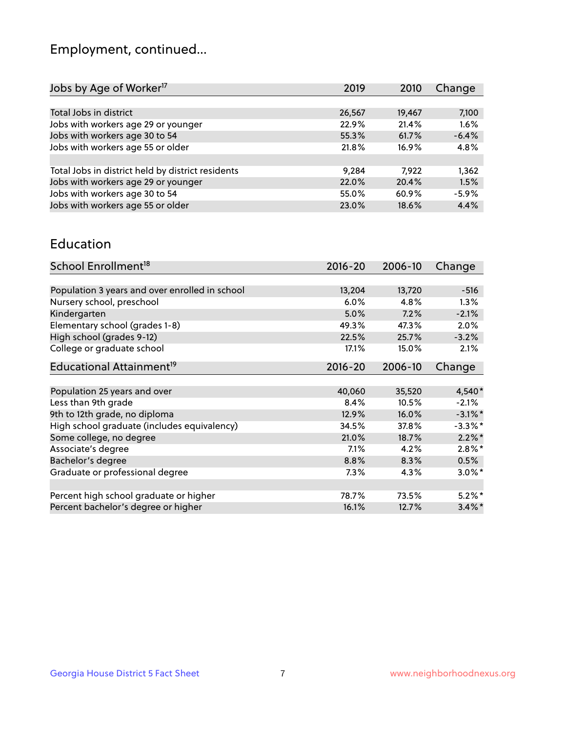## Employment, continued...

| 2019   | Change                                                                        |
|--------|-------------------------------------------------------------------------------|
|        |                                                                               |
| 26,567 | 7,100                                                                         |
| 22.9%  | 1.6%                                                                          |
| 55.3%  | $-6.4%$                                                                       |
| 21.8%  | 4.8%                                                                          |
|        |                                                                               |
| 9,284  | 1,362                                                                         |
| 22.0%  | 1.5%                                                                          |
| 55.0%  | $-5.9%$                                                                       |
| 23.0%  | 4.4%                                                                          |
|        | 2010<br>19,467<br>21.4%<br>61.7%<br>16.9%<br>7.922<br>20.4%<br>60.9%<br>18.6% |

#### Education

| School Enrollment <sup>18</sup>                | $2016 - 20$ | 2006-10 | Change     |
|------------------------------------------------|-------------|---------|------------|
|                                                |             |         |            |
| Population 3 years and over enrolled in school | 13,204      | 13,720  | $-516$     |
| Nursery school, preschool                      | 6.0%        | 4.8%    | $1.3\%$    |
| Kindergarten                                   | 5.0%        | 7.2%    | $-2.1%$    |
| Elementary school (grades 1-8)                 | 49.3%       | 47.3%   | 2.0%       |
| High school (grades 9-12)                      | 22.5%       | 25.7%   | $-3.2%$    |
| College or graduate school                     | 17.1%       | 15.0%   | 2.1%       |
| Educational Attainment <sup>19</sup>           | $2016 - 20$ | 2006-10 | Change     |
|                                                |             |         |            |
| Population 25 years and over                   | 40,060      | 35,520  | 4,540*     |
| Less than 9th grade                            | 8.4%        | 10.5%   | $-2.1%$    |
| 9th to 12th grade, no diploma                  | 12.9%       | 16.0%   | $-3.1\%$ * |
| High school graduate (includes equivalency)    | 34.5%       | 37.8%   | $-3.3\%$ * |
| Some college, no degree                        | 21.0%       | 18.7%   | $2.2\%$ *  |
| Associate's degree                             | 7.1%        | 4.2%    | $2.8\%$ *  |
| Bachelor's degree                              | 8.8%        | 8.3%    | 0.5%       |
| Graduate or professional degree                | $7.3\%$     | 4.3%    | $3.0\%$ *  |
|                                                |             |         |            |
| Percent high school graduate or higher         | 78.7%       | 73.5%   | $5.2\%$ *  |
| Percent bachelor's degree or higher            | 16.1%       | 12.7%   | $3.4\%$ *  |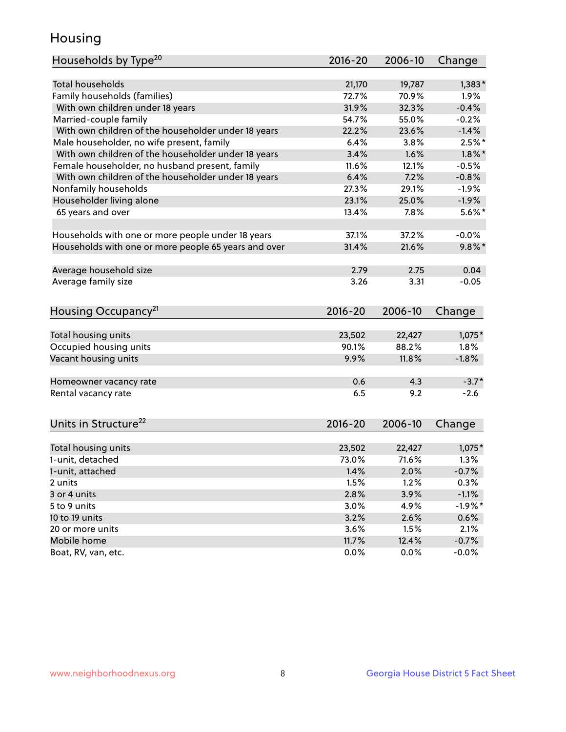## Housing

| Households by Type <sup>20</sup>                     | $2016 - 20$ | 2006-10 | Change    |
|------------------------------------------------------|-------------|---------|-----------|
|                                                      |             |         |           |
| <b>Total households</b>                              | 21,170      | 19,787  | $1,383*$  |
| Family households (families)                         | 72.7%       | 70.9%   | 1.9%      |
| With own children under 18 years                     | 31.9%       | 32.3%   | $-0.4%$   |
| Married-couple family                                | 54.7%       | 55.0%   | $-0.2%$   |
| With own children of the householder under 18 years  | 22.2%       | 23.6%   | $-1.4%$   |
| Male householder, no wife present, family            | 6.4%        | 3.8%    | $2.5%$ *  |
| With own children of the householder under 18 years  | 3.4%        | 1.6%    | $1.8\%$ * |
| Female householder, no husband present, family       | 11.6%       | 12.1%   | $-0.5%$   |
| With own children of the householder under 18 years  | 6.4%        | 7.2%    | $-0.8%$   |
| Nonfamily households                                 | 27.3%       | 29.1%   | $-1.9%$   |
| Householder living alone                             | 23.1%       | 25.0%   | $-1.9%$   |
| 65 years and over                                    | 13.4%       | 7.8%    | $5.6\%$ * |
|                                                      |             |         |           |
| Households with one or more people under 18 years    | 37.1%       | 37.2%   | $-0.0%$   |
| Households with one or more people 65 years and over | 31.4%       | 21.6%   | $9.8\%$ * |
|                                                      |             |         |           |
| Average household size                               | 2.79        | 2.75    | 0.04      |
| Average family size                                  | 3.26        | 3.31    | $-0.05$   |
|                                                      |             |         |           |
| Housing Occupancy <sup>21</sup>                      | $2016 - 20$ | 2006-10 | Change    |
|                                                      |             |         |           |
| Total housing units                                  | 23,502      | 22,427  | $1,075*$  |
| Occupied housing units                               | 90.1%       | 88.2%   | 1.8%      |
| Vacant housing units                                 | 9.9%        | 11.8%   | $-1.8%$   |
|                                                      |             |         |           |
| Homeowner vacancy rate                               | 0.6         | 4.3     | $-3.7*$   |
| Rental vacancy rate                                  | 6.5         | 9.2     | $-2.6$    |
|                                                      |             |         |           |
|                                                      |             |         |           |
| Units in Structure <sup>22</sup>                     | 2016-20     | 2006-10 | Change    |
|                                                      |             |         |           |
| Total housing units                                  | 23,502      | 22,427  | $1,075*$  |
| 1-unit, detached                                     | 73.0%       | 71.6%   | 1.3%      |
| 1-unit, attached                                     | 1.4%        | 2.0%    | $-0.7%$   |
| 2 units                                              | 1.5%        | 1.2%    | 0.3%      |
| 3 or 4 units                                         | 2.8%        | 3.9%    | $-1.1%$   |
| 5 to 9 units                                         | 3.0%        | 4.9%    | $-1.9%$ * |
| 10 to 19 units                                       | 3.2%        | 2.6%    | 0.6%      |
| 20 or more units                                     | 3.6%        | 1.5%    | 2.1%      |
| Mobile home                                          | 11.7%       | 12.4%   | $-0.7%$   |
| Boat, RV, van, etc.                                  | 0.0%        | 0.0%    | $-0.0%$   |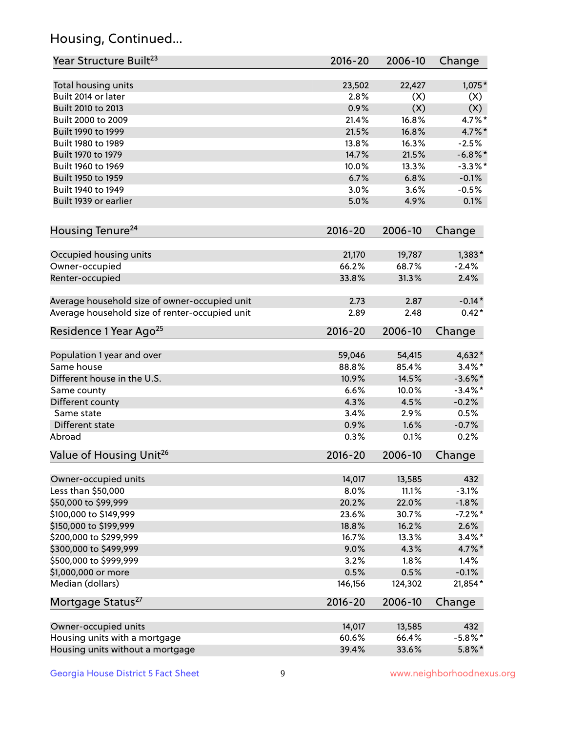## Housing, Continued...

| Year Structure Built <sup>23</sup>             | 2016-20     | 2006-10 | Change     |
|------------------------------------------------|-------------|---------|------------|
| Total housing units                            | 23,502      | 22,427  | $1,075*$   |
| Built 2014 or later                            | 2.8%        | (X)     | (X)        |
| Built 2010 to 2013                             | 0.9%        | (X)     | (X)        |
| Built 2000 to 2009                             | 21.4%       | 16.8%   | 4.7%*      |
| Built 1990 to 1999                             | 21.5%       | 16.8%   | 4.7%*      |
| Built 1980 to 1989                             | 13.8%       | 16.3%   | $-2.5%$    |
| Built 1970 to 1979                             | 14.7%       | 21.5%   | $-6.8\%$ * |
| Built 1960 to 1969                             | 10.0%       | 13.3%   | $-3.3\%$ * |
| Built 1950 to 1959                             | 6.7%        | 6.8%    | $-0.1%$    |
| Built 1940 to 1949                             | 3.0%        | 3.6%    | $-0.5%$    |
| Built 1939 or earlier                          | 5.0%        | 4.9%    | 0.1%       |
| Housing Tenure <sup>24</sup>                   | $2016 - 20$ | 2006-10 | Change     |
| Occupied housing units                         | 21,170      | 19,787  | $1,383*$   |
| Owner-occupied                                 | 66.2%       | 68.7%   | $-2.4%$    |
| Renter-occupied                                | 33.8%       | 31.3%   | 2.4%       |
| Average household size of owner-occupied unit  | 2.73        | 2.87    | $-0.14*$   |
| Average household size of renter-occupied unit | 2.89        | 2.48    | $0.42*$    |
| Residence 1 Year Ago <sup>25</sup>             | $2016 - 20$ | 2006-10 | Change     |
| Population 1 year and over                     | 59,046      | 54,415  | 4,632*     |
| Same house                                     | 88.8%       | 85.4%   | $3.4\%$ *  |
| Different house in the U.S.                    | 10.9%       | 14.5%   | $-3.6\%$ * |
| Same county                                    | 6.6%        | 10.0%   | $-3.4\%$ * |
| Different county                               | 4.3%        | 4.5%    | $-0.2%$    |
| Same state                                     | 3.4%        | 2.9%    | 0.5%       |
| Different state                                | 0.9%        | 1.6%    | $-0.7%$    |
| Abroad                                         | 0.3%        | 0.1%    | 0.2%       |
| Value of Housing Unit <sup>26</sup>            | $2016 - 20$ | 2006-10 | Change     |
| Owner-occupied units                           | 14,017      | 13,585  | 432        |
| Less than \$50,000                             | 8.0%        | 11.1%   | $-3.1%$    |
| \$50,000 to \$99,999                           | 20.2%       | 22.0%   | $-1.8%$    |
| \$100,000 to \$149,999                         | 23.6%       | 30.7%   | $-7.2%$ *  |
| \$150,000 to \$199,999                         | 18.8%       | 16.2%   | 2.6%       |
| \$200,000 to \$299,999                         | 16.7%       | 13.3%   | $3.4\%$ *  |
| \$300,000 to \$499,999                         | 9.0%        | 4.3%    | 4.7%*      |
| \$500,000 to \$999,999                         | 3.2%        | 1.8%    | 1.4%       |
| \$1,000,000 or more                            | 0.5%        | 0.5%    | $-0.1%$    |
| Median (dollars)                               | 146,156     | 124,302 | 21,854*    |
| Mortgage Status <sup>27</sup>                  | $2016 - 20$ | 2006-10 | Change     |
| Owner-occupied units                           | 14,017      | 13,585  | 432        |
| Housing units with a mortgage                  | 60.6%       | 66.4%   | $-5.8\%$ * |
| Housing units without a mortgage               | 39.4%       | 33.6%   | $5.8\%$ *  |
|                                                |             |         |            |

Georgia House District 5 Fact Sheet 9 9 9 Www.neighborhoodnexus.org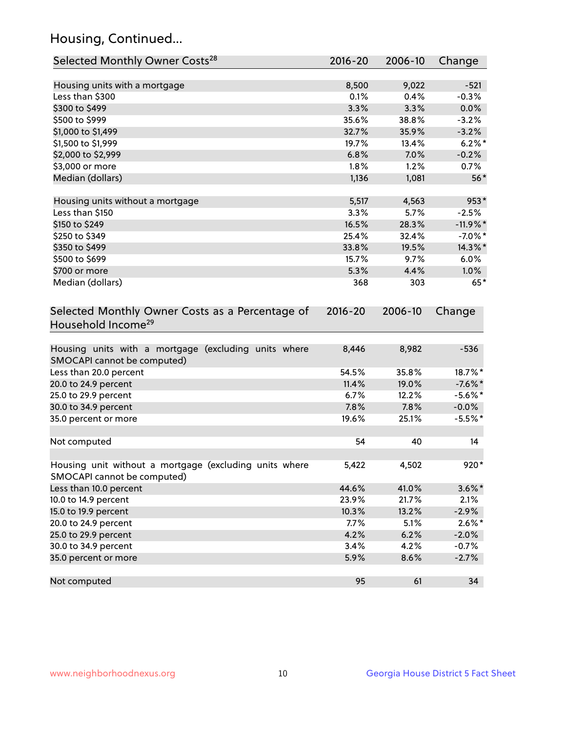## Housing, Continued...

| Selected Monthly Owner Costs <sup>28</sup>                                            | 2016-20 | 2006-10 | Change     |
|---------------------------------------------------------------------------------------|---------|---------|------------|
| Housing units with a mortgage                                                         | 8,500   | 9,022   | $-521$     |
| Less than \$300                                                                       | 0.1%    | 0.4%    | $-0.3%$    |
| \$300 to \$499                                                                        | 3.3%    | 3.3%    | 0.0%       |
| \$500 to \$999                                                                        | 35.6%   | 38.8%   | $-3.2%$    |
| \$1,000 to \$1,499                                                                    | 32.7%   | 35.9%   | $-3.2%$    |
| \$1,500 to \$1,999                                                                    | 19.7%   | 13.4%   | $6.2\%$ *  |
| \$2,000 to \$2,999                                                                    | 6.8%    | 7.0%    | $-0.2%$    |
| \$3,000 or more                                                                       | 1.8%    | 1.2%    | 0.7%       |
| Median (dollars)                                                                      | 1,136   | 1,081   | $56*$      |
| Housing units without a mortgage                                                      | 5,517   | 4,563   | 953*       |
| Less than \$150                                                                       | 3.3%    | 5.7%    | $-2.5%$    |
| \$150 to \$249                                                                        | 16.5%   | 28.3%   | $-11.9%$   |
| \$250 to \$349                                                                        | 25.4%   | 32.4%   | $-7.0\%$ * |
| \$350 to \$499                                                                        | 33.8%   | 19.5%   | 14.3%*     |
| \$500 to \$699                                                                        | 15.7%   | 9.7%    | 6.0%       |
| \$700 or more                                                                         | 5.3%    | 4.4%    | $1.0\%$    |
| Median (dollars)                                                                      | 368     | 303     | $65*$      |
| Household Income <sup>29</sup>                                                        |         |         |            |
| Housing units with a mortgage (excluding units where<br>SMOCAPI cannot be computed)   | 8,446   | 8,982   | $-536$     |
| Less than 20.0 percent                                                                | 54.5%   | 35.8%   | 18.7%*     |
| 20.0 to 24.9 percent                                                                  | 11.4%   | 19.0%   | $-7.6%$ *  |
| 25.0 to 29.9 percent                                                                  | 6.7%    | 12.2%   | $-5.6\%$ * |
| 30.0 to 34.9 percent                                                                  | 7.8%    | 7.8%    | $-0.0\%$   |
| 35.0 percent or more                                                                  | 19.6%   | 25.1%   | $-5.5%$ *  |
| Not computed                                                                          | 54      | 40      | 14         |
| Housing unit without a mortgage (excluding units where<br>SMOCAPI cannot be computed) | 5,422   | 4,502   | 920*       |
| Less than 10.0 percent                                                                | 44.6%   | 41.0%   | $3.6\%$ *  |
| 10.0 to 14.9 percent                                                                  | 23.9%   | 21.7%   | 2.1%       |
| 15.0 to 19.9 percent                                                                  | 10.3%   | 13.2%   | $-2.9%$    |
| 20.0 to 24.9 percent                                                                  | 7.7%    | 5.1%    | $2.6\%$ *  |
| 25.0 to 29.9 percent                                                                  | 4.2%    | 6.2%    | $-2.0%$    |
| 30.0 to 34.9 percent                                                                  | 3.4%    | 4.2%    | $-0.7%$    |
| 35.0 percent or more                                                                  | 5.9%    | 8.6%    | $-2.7%$    |
| Not computed                                                                          | 95      | 61      | 34         |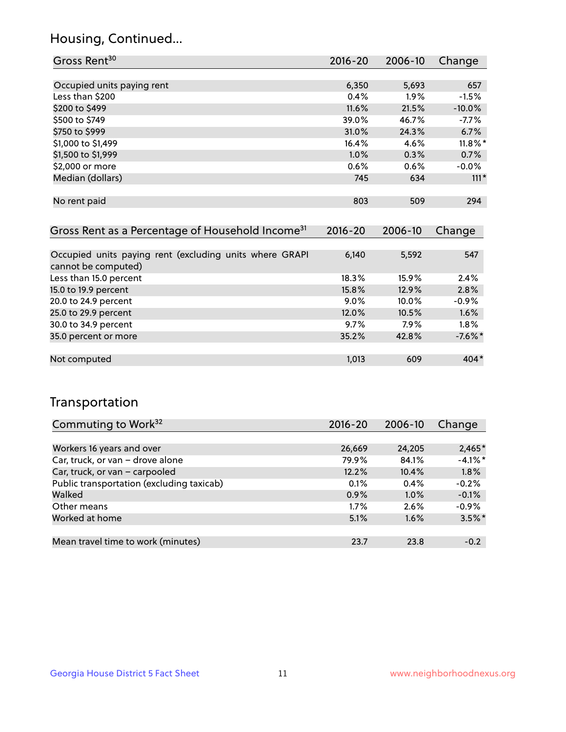## Housing, Continued...

| Gross Rent <sup>30</sup>   | 2016-20  | 2006-10 | Change     |
|----------------------------|----------|---------|------------|
|                            |          |         |            |
| Occupied units paying rent | 6,350    | 5,693   | 657        |
| Less than \$200            | 0.4%     | $1.9\%$ | $-1.5%$    |
| \$200 to \$499             | $11.6\%$ | 21.5%   | $-10.0%$   |
| \$500 to \$749             | 39.0%    | 46.7%   | $-7.7\%$   |
| \$750 to \$999             | 31.0%    | 24.3%   | 6.7%       |
| \$1,000 to \$1,499         | 16.4%    | 4.6%    | $11.8\%$ * |
| \$1,500 to \$1,999         | 1.0%     | 0.3%    | 0.7%       |
| \$2,000 or more            | 0.6%     | 0.6%    | $-0.0%$    |
| Median (dollars)           | 745      | 634     | $111*$     |
|                            |          |         |            |
| No rent paid               | 803      | 509     | 294        |
|                            |          |         |            |

| Gross Rent as a Percentage of Household Income <sup>31</sup>                   | $2016 - 20$ | 2006-10 | Change     |
|--------------------------------------------------------------------------------|-------------|---------|------------|
|                                                                                |             |         |            |
| Occupied units paying rent (excluding units where GRAPI<br>cannot be computed) | 6,140       | 5,592   | 547        |
| Less than 15.0 percent                                                         | 18.3%       | 15.9%   | 2.4%       |
| 15.0 to 19.9 percent                                                           | 15.8%       | 12.9%   | 2.8%       |
| 20.0 to 24.9 percent                                                           | $9.0\%$     | 10.0%   | $-0.9%$    |
| 25.0 to 29.9 percent                                                           | 12.0%       | 10.5%   | 1.6%       |
| 30.0 to 34.9 percent                                                           | 9.7%        | 7.9%    | $1.8\%$    |
| 35.0 percent or more                                                           | 35.2%       | 42.8%   | $-7.6\%$ * |
| Not computed                                                                   | 1.013       | 609     | $404*$     |

## Transportation

| Commuting to Work <sup>32</sup>           | 2016-20 | 2006-10 | Change    |
|-------------------------------------------|---------|---------|-----------|
|                                           |         |         |           |
| Workers 16 years and over                 | 26,669  | 24,205  | $2,465*$  |
| Car, truck, or van - drove alone          | 79.9%   | 84.1%   | $-4.1%$ * |
| Car, truck, or van - carpooled            | 12.2%   | 10.4%   | 1.8%      |
| Public transportation (excluding taxicab) | 0.1%    | 0.4%    | $-0.2%$   |
| Walked                                    | 0.9%    | 1.0%    | $-0.1%$   |
| Other means                               | 1.7%    | 2.6%    | $-0.9%$   |
| Worked at home                            | 5.1%    | 1.6%    | $3.5\%$ * |
|                                           |         |         |           |
| Mean travel time to work (minutes)        | 23.7    | 23.8    | $-0.2$    |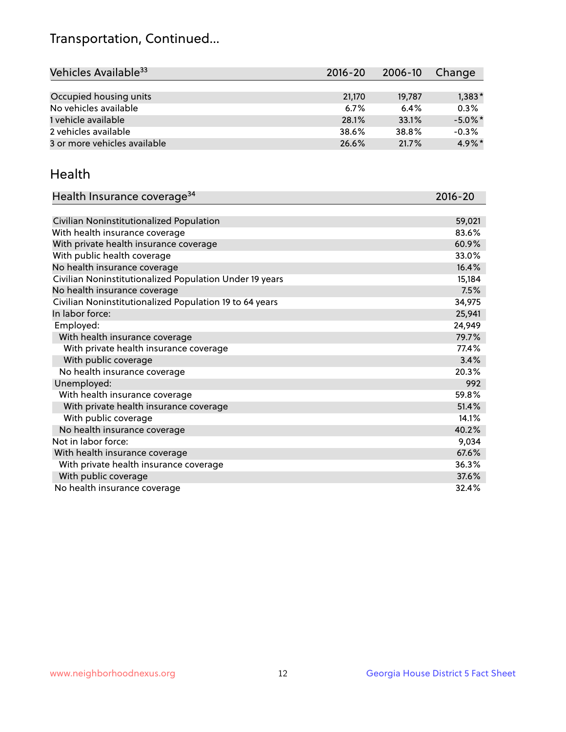## Transportation, Continued...

| Vehicles Available <sup>33</sup> | $2016 - 20$ | 2006-10 | Change     |
|----------------------------------|-------------|---------|------------|
|                                  |             |         |            |
| Occupied housing units           | 21,170      | 19.787  | $1,383*$   |
| No vehicles available            | 6.7%        | 6.4%    | 0.3%       |
| 1 vehicle available              | 28.1%       | 33.1%   | $-5.0\%$ * |
| 2 vehicles available             | 38.6%       | 38.8%   | $-0.3%$    |
| 3 or more vehicles available     | 26.6%       | 21.7%   | $4.9\%$ *  |

#### Health

| Health Insurance coverage <sup>34</sup>                 | 2016-20 |
|---------------------------------------------------------|---------|
|                                                         |         |
| Civilian Noninstitutionalized Population                | 59,021  |
| With health insurance coverage                          | 83.6%   |
| With private health insurance coverage                  | 60.9%   |
| With public health coverage                             | 33.0%   |
| No health insurance coverage                            | 16.4%   |
| Civilian Noninstitutionalized Population Under 19 years | 15,184  |
| No health insurance coverage                            | 7.5%    |
| Civilian Noninstitutionalized Population 19 to 64 years | 34,975  |
| In labor force:                                         | 25,941  |
| Employed:                                               | 24,949  |
| With health insurance coverage                          | 79.7%   |
| With private health insurance coverage                  | 77.4%   |
| With public coverage                                    | 3.4%    |
| No health insurance coverage                            | 20.3%   |
| Unemployed:                                             | 992     |
| With health insurance coverage                          | 59.8%   |
| With private health insurance coverage                  | 51.4%   |
| With public coverage                                    | 14.1%   |
| No health insurance coverage                            | 40.2%   |
| Not in labor force:                                     | 9,034   |
| With health insurance coverage                          | 67.6%   |
| With private health insurance coverage                  | 36.3%   |
| With public coverage                                    | 37.6%   |
| No health insurance coverage                            | 32.4%   |